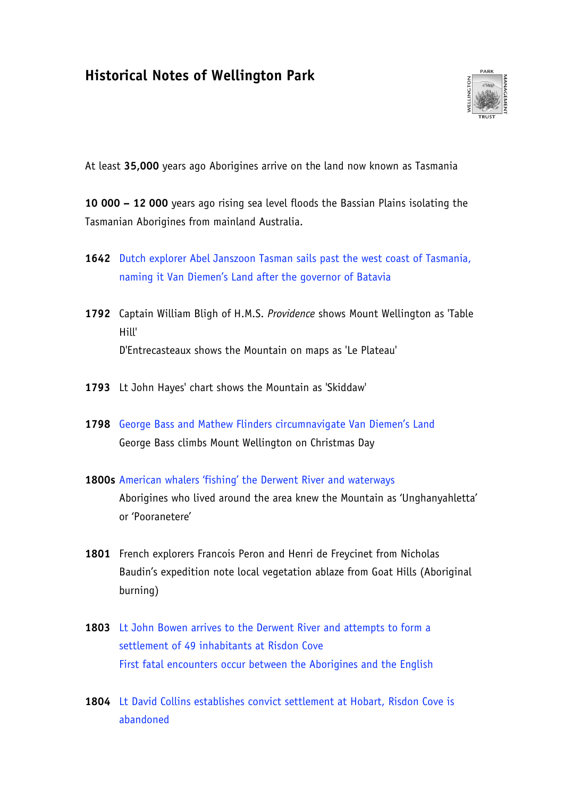# **Historical Notes of Wellington Park**



At least **35,000** years ago Aborigines arrive on the land now known as Tasmania

**10 000 – 12 000** years ago rising sea level floods the Bassian Plains isolating the Tasmanian Aborigines from mainland Australia.

- **1642** Dutch explorer Abel Janszoon Tasman sails past the west coast of Tasmania, naming it Van Diemen's Land after the governor of Batavia
- **1792** Captain William Bligh of H.M.S. *Providence* shows Mount Wellington as 'Table Hill' D'Entrecasteaux shows the Mountain on maps as 'Le Plateau'
- **1793** Lt John Hayes' chart shows the Mountain as 'Skiddaw'
- **1798** George Bass and Mathew Flinders circumnavigate Van Diemen's Land George Bass climbs Mount Wellington on Christmas Day
- **1800s** American whalers 'fishing' the Derwent River and waterways

Aborigines who lived around the area knew the Mountain as 'Unghanyahletta' or 'Pooranetere'

- **1801** French explorers Francois Peron and Henri de Freycinet from Nicholas Baudin's expedition note local vegetation ablaze from Goat Hills (Aboriginal burning)
- **1803** Lt John Bowen arrives to the Derwent River and attempts to form a settlement of 49 inhabitants at Risdon Cove First fatal encounters occur between the Aborigines and the English
- **1804** Lt David Collins establishes convict settlement at Hobart, Risdon Cove is abandoned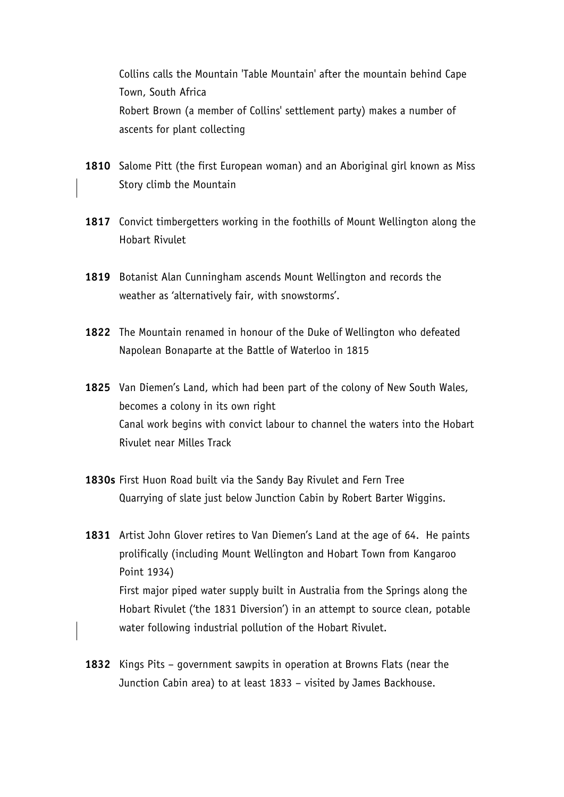Collins calls the Mountain 'Table Mountain' after the mountain behind Cape Town, South Africa Robert Brown (a member of Collins' settlement party) makes a number of ascents for plant collecting

- **1810** Salome Pitt (the first European woman) and an Aboriginal girl known as Miss Story climb the Mountain
- **1817** Convict timbergetters working in the foothills of Mount Wellington along the Hobart Rivulet
- **1819** Botanist Alan Cunningham ascends Mount Wellington and records the weather as 'alternatively fair, with snowstorms'.
- **1822** The Mountain renamed in honour of the Duke of Wellington who defeated Napolean Bonaparte at the Battle of Waterloo in 1815
- **1825** Van Diemen's Land, which had been part of the colony of New South Wales, becomes a colony in its own right Canal work begins with convict labour to channel the waters into the Hobart Rivulet near Milles Track
- **1830s** First Huon Road built via the Sandy Bay Rivulet and Fern Tree Quarrying of slate just below Junction Cabin by Robert Barter Wiggins.
- **1831** Artist John Glover retires to Van Diemen's Land at the age of 64. He paints prolifically (including Mount Wellington and Hobart Town from Kangaroo Point 1934) First major piped water supply built in Australia from the Springs along the Hobart Rivulet ('the 1831 Diversion') in an attempt to source clean, potable water following industrial pollution of the Hobart Rivulet.
- **1832** Kings Pits government sawpits in operation at Browns Flats (near the Junction Cabin area) to at least 1833 – visited by James Backhouse.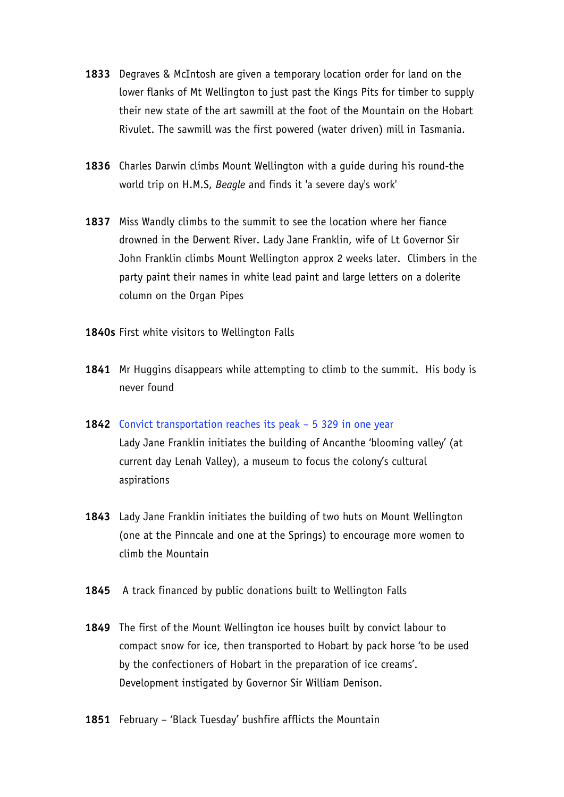- **1833** Degraves & McIntosh are given a temporary location order for land on the lower flanks of Mt Wellington to just past the Kings Pits for timber to supply their new state of the art sawmill at the foot of the Mountain on the Hobart Rivulet. The sawmill was the first powered (water driven) mill in Tasmania.
- **1836** Charles Darwin climbs Mount Wellington with a guide during his round-the world trip on H.M.S, *Beagle* and finds it 'a severe day's work'
- **1837** Miss Wandly climbs to the summit to see the location where her fiance drowned in the Derwent River. Lady Jane Franklin, wife of Lt Governor Sir John Franklin climbs Mount Wellington approx 2 weeks later. Climbers in the party paint their names in white lead paint and large letters on a dolerite column on the Organ Pipes
- **1840s** First white visitors to Wellington Falls
- **1841** Mr Huggins disappears while attempting to climb to the summit. His body is never found
- **1842** Convict transportation reaches its peak 5 329 in one year Lady Jane Franklin initiates the building of Ancanthe 'blooming valley' (at current day Lenah Valley), a museum to focus the colony's cultural aspirations
- **1843** Lady Jane Franklin initiates the building of two huts on Mount Wellington (one at the Pinncale and one at the Springs) to encourage more women to climb the Mountain
- **1845** A track financed by public donations built to Wellington Falls
- **1849** The first of the Mount Wellington ice houses built by convict labour to compact snow for ice, then transported to Hobart by pack horse 'to be used by the confectioners of Hobart in the preparation of ice creams'. Development instigated by Governor Sir William Denison.
- **1851** February 'Black Tuesday' bushfire afflicts the Mountain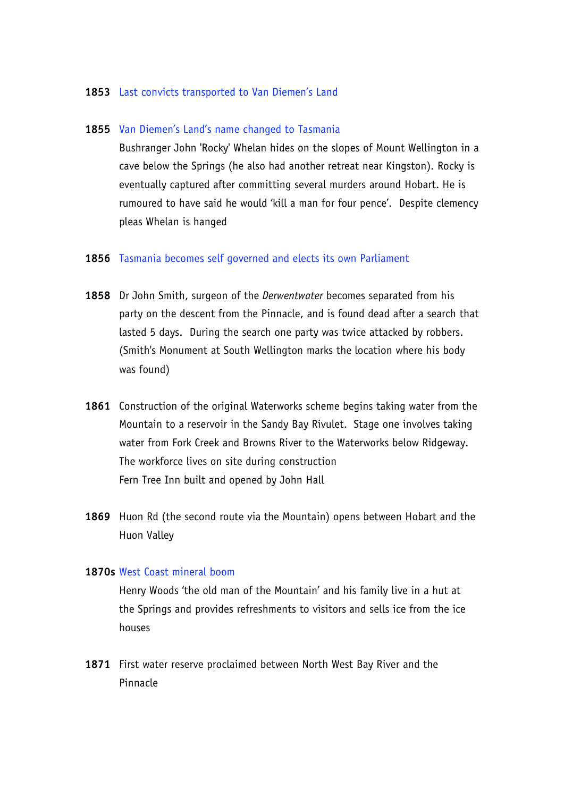#### **1853** Last convicts transported to Van Diemen's Land

## **1855** Van Diemen's Land's name changed to Tasmania

Bushranger John 'Rocky' Whelan hides on the slopes of Mount Wellington in a cave below the Springs (he also had another retreat near Kingston). Rocky is eventually captured after committing several murders around Hobart. He is rumoured to have said he would 'kill a man for four pence'. Despite clemency pleas Whelan is hanged

#### **1856** Tasmania becomes self governed and elects its own Parliament

- **1858** Dr John Smith, surgeon of the *Derwentwater* becomes separated from his party on the descent from the Pinnacle, and is found dead after a search that lasted 5 days. During the search one party was twice attacked by robbers. (Smith's Monument at South Wellington marks the location where his body was found)
- **1861** Construction of the original Waterworks scheme begins taking water from the Mountain to a reservoir in the Sandy Bay Rivulet. Stage one involves taking water from Fork Creek and Browns River to the Waterworks below Ridgeway. The workforce lives on site during construction Fern Tree Inn built and opened by John Hall
- **1869** Huon Rd (the second route via the Mountain) opens between Hobart and the Huon Valley

#### **1870s** West Coast mineral boom

Henry Woods 'the old man of the Mountain' and his family live in a hut at the Springs and provides refreshments to visitors and sells ice from the ice houses

**1871** First water reserve proclaimed between North West Bay River and the Pinnacle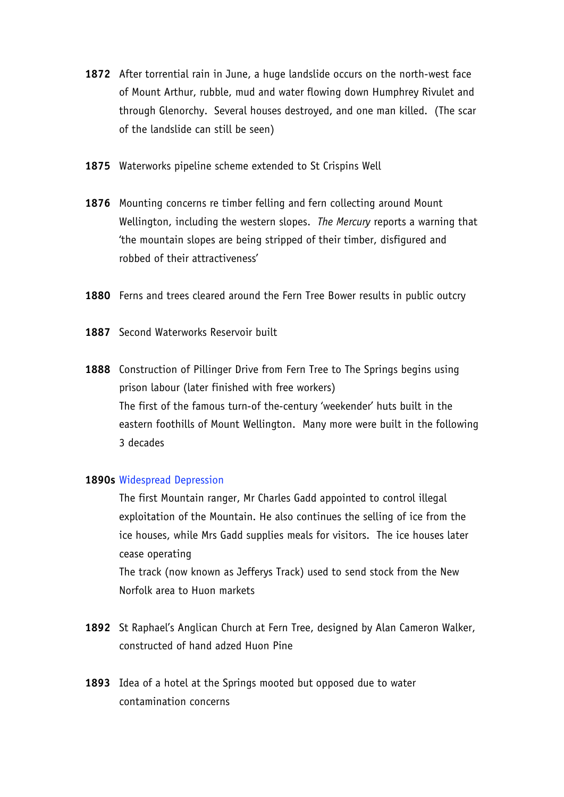- **1872** After torrential rain in June, a huge landslide occurs on the north-west face of Mount Arthur, rubble, mud and water flowing down Humphrey Rivulet and through Glenorchy. Several houses destroyed, and one man killed. (The scar of the landslide can still be seen)
- **1875** Waterworks pipeline scheme extended to St Crispins Well
- **1876** Mounting concerns re timber felling and fern collecting around Mount Wellington, including the western slopes. *The Mercury* reports a warning that 'the mountain slopes are being stripped of their timber, disfigured and robbed of their attractiveness'
- **1880** Ferns and trees cleared around the Fern Tree Bower results in public outcry
- **1887** Second Waterworks Reservoir built
- **1888** Construction of Pillinger Drive from Fern Tree to The Springs begins using prison labour (later finished with free workers) The first of the famous turn-of the-century 'weekender' huts built in the eastern foothills of Mount Wellington. Many more were built in the following 3 decades

## **1890s** Widespread Depression

The first Mountain ranger, Mr Charles Gadd appointed to control illegal exploitation of the Mountain. He also continues the selling of ice from the ice houses, while Mrs Gadd supplies meals for visitors. The ice houses later cease operating The track (now known as Jefferys Track) used to send stock from the New

Norfolk area to Huon markets

- **1892** St Raphael's Anglican Church at Fern Tree, designed by Alan Cameron Walker, constructed of hand adzed Huon Pine
- **1893** Idea of a hotel at the Springs mooted but opposed due to water contamination concerns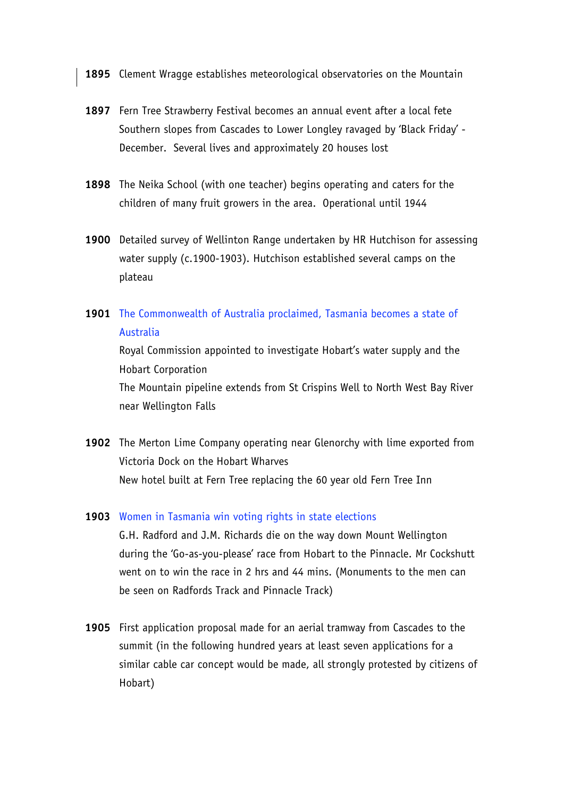**1895** Clement Wragge establishes meteorological observatories on the Mountain

- **1897** Fern Tree Strawberry Festival becomes an annual event after a local fete Southern slopes from Cascades to Lower Longley ravaged by 'Black Friday' - December. Several lives and approximately 20 houses lost
- **1898** The Neika School (with one teacher) begins operating and caters for the children of many fruit growers in the area. Operational until 1944
- **1900** Detailed survey of Wellinton Range undertaken by HR Hutchison for assessing water supply (c.1900-1903). Hutchison established several camps on the plateau
- **1901** The Commonwealth of Australia proclaimed, Tasmania becomes a state of Australia

Royal Commission appointed to investigate Hobart's water supply and the Hobart Corporation The Mountain pipeline extends from St Crispins Well to North West Bay River near Wellington Falls

**1902** The Merton Lime Company operating near Glenorchy with lime exported from Victoria Dock on the Hobart Wharves New hotel built at Fern Tree replacing the 60 year old Fern Tree Inn

#### **1903** Women in Tasmania win voting rights in state elections

G.H. Radford and J.M. Richards die on the way down Mount Wellington during the 'Go-as-you-please' race from Hobart to the Pinnacle. Mr Cockshutt went on to win the race in 2 hrs and 44 mins. (Monuments to the men can be seen on Radfords Track and Pinnacle Track)

**1905** First application proposal made for an aerial tramway from Cascades to the summit (in the following hundred years at least seven applications for a similar cable car concept would be made, all strongly protested by citizens of Hobart)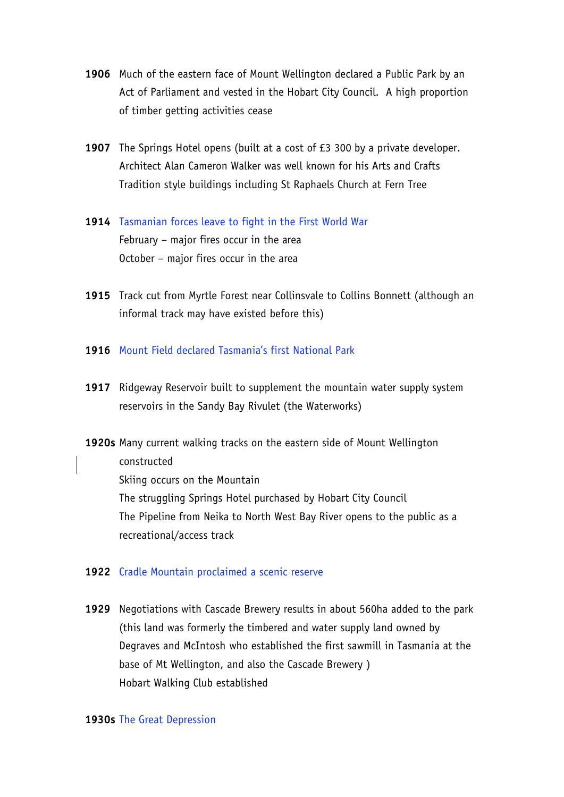- **1906** Much of the eastern face of Mount Wellington declared a Public Park by an Act of Parliament and vested in the Hobart City Council. A high proportion of timber getting activities cease
- **1907** The Springs Hotel opens (built at a cost of £3 300 by a private developer. Architect Alan Cameron Walker was well known for his Arts and Crafts Tradition style buildings including St Raphaels Church at Fern Tree
- **1914** Tasmanian forces leave to fight in the First World War February – major fires occur in the area October – major fires occur in the area
- **1915** Track cut from Myrtle Forest near Collinsvale to Collins Bonnett (although an informal track may have existed before this)
- **1916** Mount Field declared Tasmania's first National Park
- **1917** Ridgeway Reservoir built to supplement the mountain water supply system reservoirs in the Sandy Bay Rivulet (the Waterworks)
- **1920s** Many current walking tracks on the eastern side of Mount Wellington constructed Skiing occurs on the Mountain The struggling Springs Hotel purchased by Hobart City Council The Pipeline from Neika to North West Bay River opens to the public as a recreational/access track

# **1922** Cradle Mountain proclaimed a scenic reserve

**1929** Negotiations with Cascade Brewery results in about 560ha added to the park (this land was formerly the timbered and water supply land owned by Degraves and McIntosh who established the first sawmill in Tasmania at the base of Mt Wellington, and also the Cascade Brewery ) Hobart Walking Club established

## **1930s** The Great Depression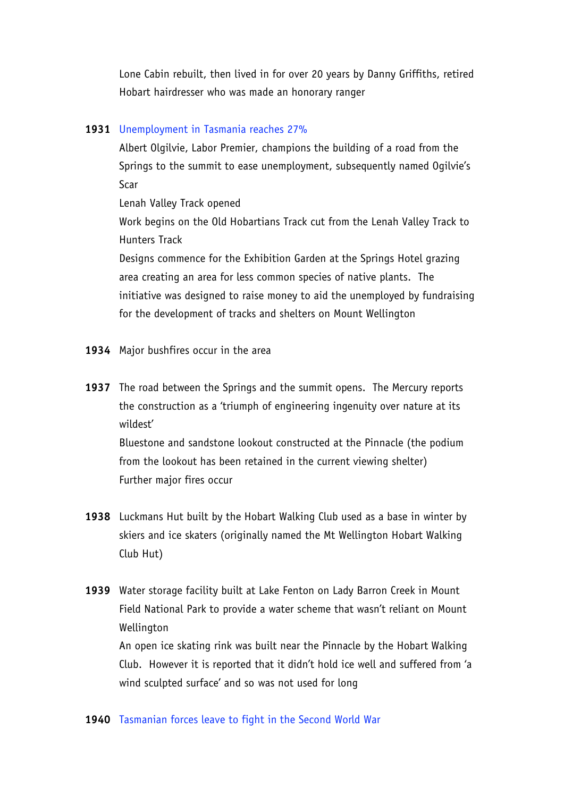Lone Cabin rebuilt, then lived in for over 20 years by Danny Griffiths, retired Hobart hairdresser who was made an honorary ranger

# **1931** Unemployment in Tasmania reaches 27%

Albert Olgilvie, Labor Premier, champions the building of a road from the Springs to the summit to ease unemployment, subsequently named Ogilvie's Scar

Lenah Valley Track opened

Work begins on the Old Hobartians Track cut from the Lenah Valley Track to Hunters Track

Designs commence for the Exhibition Garden at the Springs Hotel grazing area creating an area for less common species of native plants. The initiative was designed to raise money to aid the unemployed by fundraising for the development of tracks and shelters on Mount Wellington

- **1934** Major bushfires occur in the area
- **1937** The road between the Springs and the summit opens. The Mercury reports the construction as a 'triumph of engineering ingenuity over nature at its wildest'

Bluestone and sandstone lookout constructed at the Pinnacle (the podium from the lookout has been retained in the current viewing shelter) Further major fires occur

**1938** Luckmans Hut built by the Hobart Walking Club used as a base in winter by skiers and ice skaters (originally named the Mt Wellington Hobart Walking Club Hut)

**1939** Water storage facility built at Lake Fenton on Lady Barron Creek in Mount Field National Park to provide a water scheme that wasn't reliant on Mount Wellington An open ice skating rink was built near the Pinnacle by the Hobart Walking Club. However it is reported that it didn't hold ice well and suffered from 'a wind sculpted surface' and so was not used for long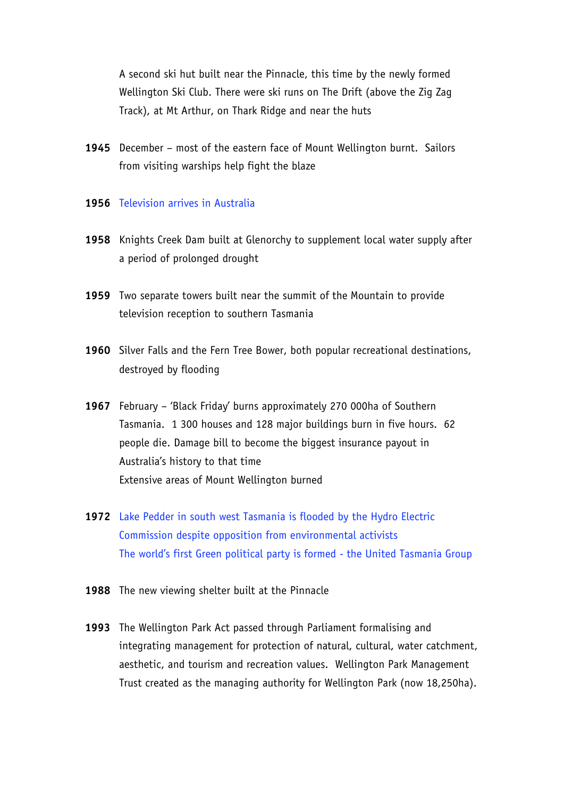A second ski hut built near the Pinnacle, this time by the newly formed Wellington Ski Club. There were ski runs on The Drift (above the Zig Zag Track), at Mt Arthur, on Thark Ridge and near the huts

**1945** December – most of the eastern face of Mount Wellington burnt. Sailors from visiting warships help fight the blaze

## **1956** Television arrives in Australia

- **1958** Knights Creek Dam built at Glenorchy to supplement local water supply after a period of prolonged drought
- **1959** Two separate towers built near the summit of the Mountain to provide television reception to southern Tasmania
- **1960** Silver Falls and the Fern Tree Bower, both popular recreational destinations, destroyed by flooding
- **1967** February 'Black Friday' burns approximately 270 000ha of Southern Tasmania. 1 300 houses and 128 major buildings burn in five hours. 62 people die. Damage bill to become the biggest insurance payout in Australia's history to that time Extensive areas of Mount Wellington burned
- **1972** Lake Pedder in south west Tasmania is flooded by the Hydro Electric Commission despite opposition from environmental activists The world's first Green political party is formed - the United Tasmania Group
- **1988** The new viewing shelter built at the Pinnacle
- **1993** The Wellington Park Act passed through Parliament formalising and integrating management for protection of natural, cultural, water catchment, aesthetic, and tourism and recreation values. Wellington Park Management Trust created as the managing authority for Wellington Park (now 18,250ha).